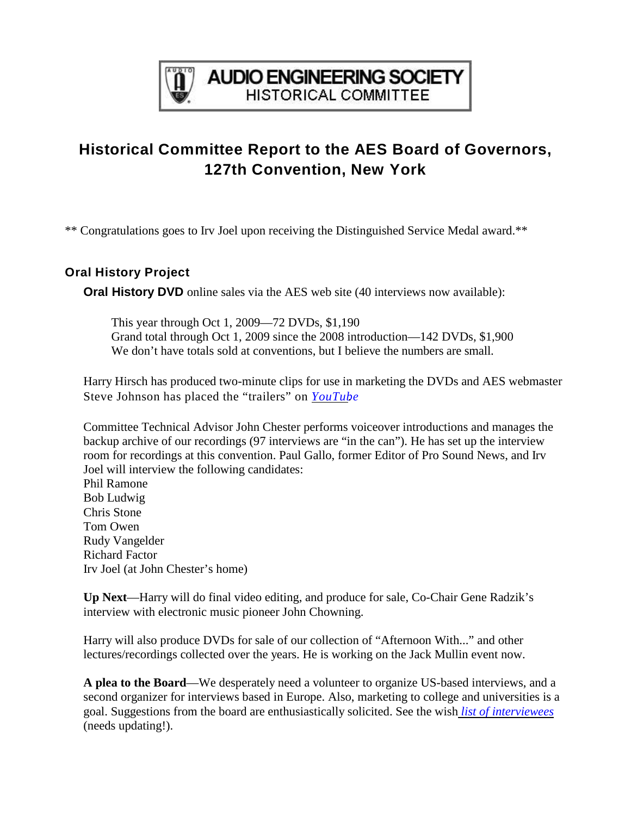

## **AUDIO ENGINEERING SOCIETY HISTORICAL COMMITTEE**

# **Historical Committee Report to the AES Board of Governors, 127th Convention, New York**

\*\* Congratulations goes to Irv Joel upon receiving the Distinguished Service Medal award.\*\*

### **Oral History Project**

**Oral History DVD** online sales via the AES web site (40 interviews now available):

This year through Oct 1, 2009—72 DVDs, \$1,190 Grand total through Oct 1, 2009 since the 2008 introduction—142 DVDs, \$1,900 We don't have totals sold at conventions, but I believe the numbers are small.

Harry Hirsch has produced two-minute clips for use in marketing the DVDs and AES webmaster Steve Johnson has placed the "trailers" on *[YouTub](http://uk.youtube.com/profile_videos?user=AESorg)e*.

Committee Technical Advisor John Chester performs voiceover introductions and manages the backup archive of our recordings (97 interviews are "in the can"). He has set up the interview room for recordings at this convention. Paul Gallo, former Editor of Pro Sound News, and Irv Joel will interview the following candidates:

Phil Ramone Bob Ludwig Chris Stone Tom Owen Rudy Vangelder Richard Factor Irv Joel (at John Chester's home)

**Up Next**—Harry will do final video editing, and produce for sale, Co-Chair Gene Radzik's interview with electronic music pioneer John Chowning.

Harry will also produce DVDs for sale of our collection of "Afternoon With..." and other lectures/recordings collected over the years. He is working on the Jack Mullin event now.

**A plea to the Board**—We desperately need a volunteer to organize US-based interviews, and a second organizer for interviews based in Europe. Also, marketing to college and universities is a goal. Suggestions from the board are enthusiastically solicited. See the wish *[list of interviewees](http://www.aes.org/aeshc/docs/oralhist/interview.master.pub.040927a.pdf)* (needs updating!).